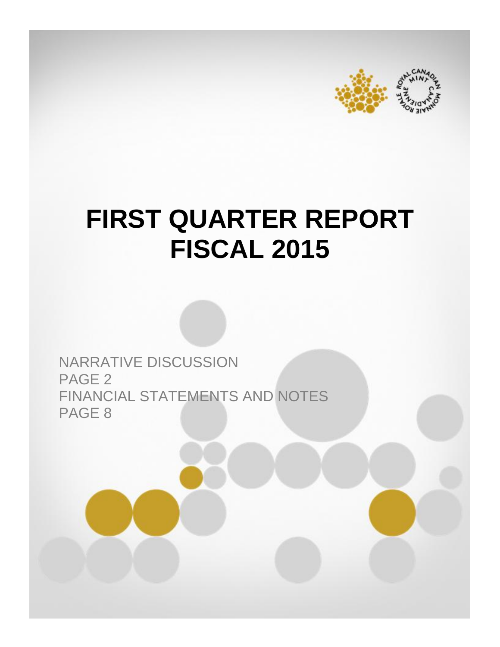



# **FIRST QUARTER REPORT FISCAL 2015**

NARRATIVE DISCUSSION PAGE 2 FINANCIAL STATEMENTS AND NOTES PAGE 8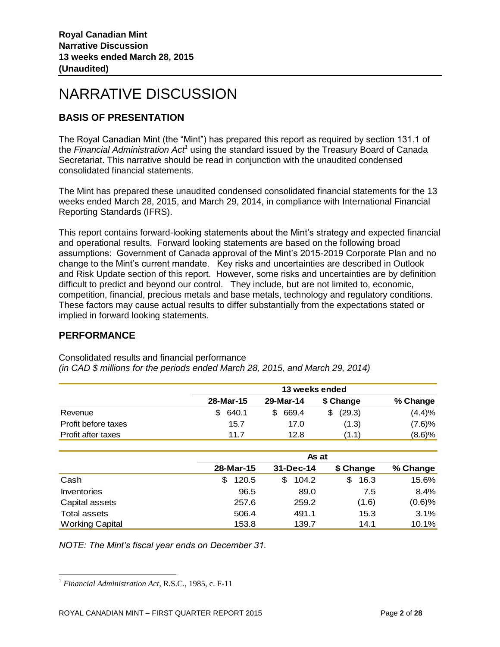# NARRATIVE DISCUSSION

# **BASIS OF PRESENTATION**

The Royal Canadian Mint (the "Mint") has prepared this report as required by section 131.1 of the *Financial Administration Act<sup>1</sup>* using the standard issued by the Treasury Board of Canada Secretariat. This narrative should be read in conjunction with the unaudited condensed consolidated financial statements.

The Mint has prepared these unaudited condensed consolidated financial statements for the 13 weeks ended March 28, 2015, and March 29, 2014, in compliance with International Financial Reporting Standards (IFRS).

This report contains forward-looking statements about the Mint's strategy and expected financial and operational results. Forward looking statements are based on the following broad assumptions: Government of Canada approval of the Mint's 2015-2019 Corporate Plan and no change to the Mint's current mandate. Key risks and uncertainties are described in Outlook and Risk Update section of this report. However, some risks and uncertainties are by definition difficult to predict and beyond our control. They include, but are not limited to, economic, competition, financial, precious metals and base metals, technology and regulatory conditions. These factors may cause actual results to differ substantially from the expectations stated or implied in forward looking statements.

# **PERFORMANCE**

l

|                     |             | 13 weeks ended |           |           |  |  |  |
|---------------------|-------------|----------------|-----------|-----------|--|--|--|
|                     | 28-Mar-15   | 29-Mar-14      | \$ Change | % Change  |  |  |  |
| Revenue             | 640.1<br>S. | 669.4          | (29.3)    | (4.4)%    |  |  |  |
| Profit before taxes | 15.7        | 17.0           | (1.3)     | (7.6)%    |  |  |  |
| Profit after taxes  | 11.7        | 12.8           | (1.1)     | $(8.6)$ % |  |  |  |

Consolidated results and financial performance *(in CAD \$ millions for the periods ended March 28, 2015, and March 29, 2014)*

|                        |             | As at      |            |           |  |  |  |
|------------------------|-------------|------------|------------|-----------|--|--|--|
|                        | 28-Mar-15   | 31-Dec-14  | \$ Change  | % Change  |  |  |  |
| Cash                   | 120.5<br>\$ | 104.2<br>S | 16.3<br>\$ | 15.6%     |  |  |  |
| <b>Inventories</b>     | 96.5        | 89.0       | 7.5        | 8.4%      |  |  |  |
| Capital assets         | 257.6       | 259.2      | (1.6)      | $(0.6)$ % |  |  |  |
| <b>Total assets</b>    | 506.4       | 491.1      | 15.3       | 3.1%      |  |  |  |
| <b>Working Capital</b> | 153.8       | 139.7      | 14.1       | 10.1%     |  |  |  |

*NOTE: The Mint's fiscal year ends on December 31.* 

<sup>1</sup> *Financial Administration Act*, R.S.C., 1985, c. F-11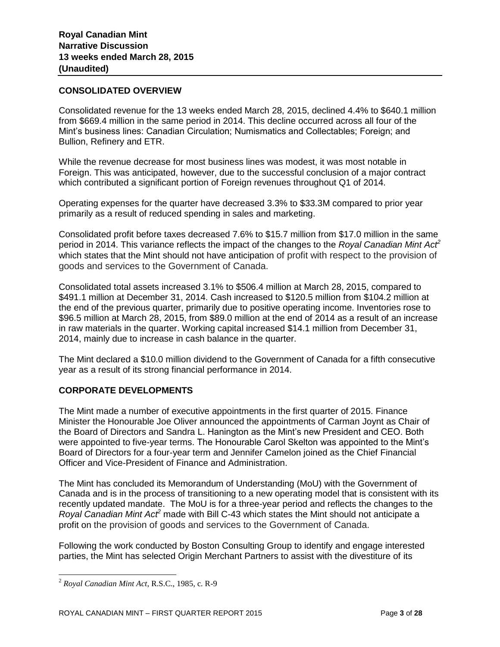# **CONSOLIDATED OVERVIEW**

Consolidated revenue for the 13 weeks ended March 28, 2015, declined 4.4% to \$640.1 million from \$669.4 million in the same period in 2014. This decline occurred across all four of the Mint's business lines: Canadian Circulation; Numismatics and Collectables; Foreign; and Bullion, Refinery and ETR.

While the revenue decrease for most business lines was modest, it was most notable in Foreign. This was anticipated, however, due to the successful conclusion of a major contract which contributed a significant portion of Foreign revenues throughout Q1 of 2014.

Operating expenses for the quarter have decreased 3.3% to \$33.3M compared to prior year primarily as a result of reduced spending in sales and marketing.

Consolidated profit before taxes decreased 7.6% to \$15.7 million from \$17.0 million in the same period in 2014. This variance reflects the impact of the changes to the *Royal Canadian Mint Act<sup>2</sup>* which states that the Mint should not have anticipation of profit with respect to the provision of goods and services to the Government of Canada.

Consolidated total assets increased 3.1% to \$506.4 million at March 28, 2015, compared to \$491.1 million at December 31, 2014. Cash increased to \$120.5 million from \$104.2 million at the end of the previous quarter, primarily due to positive operating income. Inventories rose to \$96.5 million at March 28, 2015, from \$89.0 million at the end of 2014 as a result of an increase in raw materials in the quarter. Working capital increased \$14.1 million from December 31, 2014, mainly due to increase in cash balance in the quarter.

The Mint declared a \$10.0 million dividend to the Government of Canada for a fifth consecutive year as a result of its strong financial performance in 2014.

# **CORPORATE DEVELOPMENTS**

The Mint made a number of executive appointments in the first quarter of 2015. Finance Minister the Honourable Joe Oliver announced the appointments of Carman Joynt as Chair of the Board of Directors and Sandra L. Hanington as the Mint's new President and CEO. Both were appointed to five-year terms. The Honourable Carol Skelton was appointed to the Mint's Board of Directors for a four-year term and Jennifer Camelon joined as the Chief Financial Officer and Vice-President of Finance and Administration.

The Mint has concluded its Memorandum of Understanding (MoU) with the Government of Canada and is in the process of transitioning to a new operating model that is consistent with its recently updated mandate. The MoU is for a three-year period and reflects the changes to the *Royal Canadian Mint Act<sup>2</sup>* made with Bill C-43 which states the Mint should not anticipate a profit on the provision of goods and services to the Government of Canada.

Following the work conducted by Boston Consulting Group to identify and engage interested parties, the Mint has selected Origin Merchant Partners to assist with the divestiture of its

l

<sup>2</sup> *Royal Canadian Mint Act*, R.S.C., 1985, c. R-9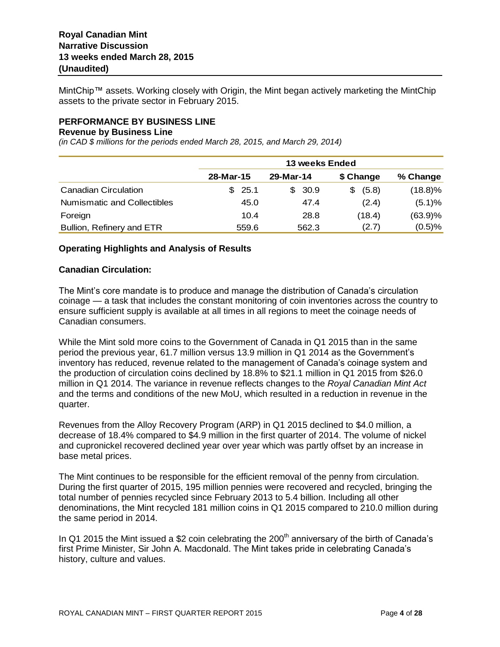MintChip™ assets. Working closely with Origin, the Mint began actively marketing the MintChip assets to the private sector in February 2015.

#### **PERFORMANCE BY BUSINESS LINE**

#### **Revenue by Business Line**

*(in CAD \$ millions for the periods ended March 28, 2015, and March 29, 2014)*

|                             | <b>13 weeks Ended</b> |           |             |            |  |  |  |  |
|-----------------------------|-----------------------|-----------|-------------|------------|--|--|--|--|
|                             | 28-Mar-15             | 29-Mar-14 | \$ Change   | % Change   |  |  |  |  |
| <b>Canadian Circulation</b> | \$25.1                | \$30.9    | (5.8)<br>S. | $(18.8)\%$ |  |  |  |  |
| Numismatic and Collectibles | 45.0                  | 47.4      | (2.4)       | (5.1)%     |  |  |  |  |
| Foreign                     | 10.4                  | 28.8      | (18.4)      | (63.9)%    |  |  |  |  |
| Bullion, Refinery and ETR   | 559.6                 | 562.3     | (2.7)       | (0.5)%     |  |  |  |  |

#### **Operating Highlights and Analysis of Results**

#### **Canadian Circulation:**

The Mint's core mandate is to produce and manage the distribution of Canada's circulation coinage — a task that includes the constant monitoring of coin inventories across the country to ensure sufficient supply is available at all times in all regions to meet the coinage needs of Canadian consumers.

While the Mint sold more coins to the Government of Canada in Q1 2015 than in the same period the previous year, 61.7 million versus 13.9 million in Q1 2014 as the Government's inventory has reduced, revenue related to the management of Canada's coinage system and the production of circulation coins declined by 18.8% to \$21.1 million in Q1 2015 from \$26.0 million in Q1 2014. The variance in revenue reflects changes to the *Royal Canadian Mint Act* and the terms and conditions of the new MoU, which resulted in a reduction in revenue in the quarter.

Revenues from the Alloy Recovery Program (ARP) in Q1 2015 declined to \$4.0 million, a decrease of 18.4% compared to \$4.9 million in the first quarter of 2014. The volume of nickel and cupronickel recovered declined year over year which was partly offset by an increase in base metal prices.

The Mint continues to be responsible for the efficient removal of the penny from circulation. During the first quarter of 2015, 195 million pennies were recovered and recycled, bringing the total number of pennies recycled since February 2013 to 5.4 billion. Including all other denominations, the Mint recycled 181 million coins in Q1 2015 compared to 210.0 million during the same period in 2014.

In Q1 2015 the Mint issued a \$2 coin celebrating the  $200<sup>th</sup>$  anniversary of the birth of Canada's first Prime Minister, Sir John A. Macdonald. The Mint takes pride in celebrating Canada's history, culture and values.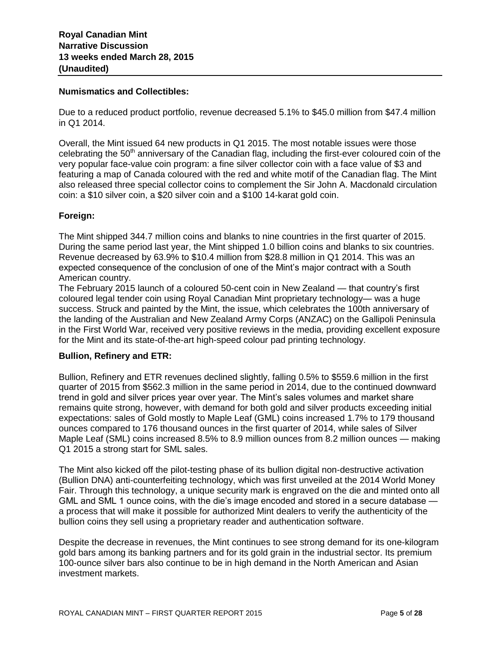#### **Numismatics and Collectibles:**

Due to a reduced product portfolio, revenue decreased 5.1% to \$45.0 million from \$47.4 million in Q1 2014.

Overall, the Mint issued 64 new products in Q1 2015. The most notable issues were those celebrating the 50<sup>th</sup> anniversary of the Canadian flag, including the first-ever coloured coin of the very popular face-value coin program: a fine silver collector coin with a face value of \$3 and featuring a map of Canada coloured with the red and white motif of the Canadian flag. The Mint also released three special collector coins to complement the Sir John A. Macdonald circulation coin: a \$10 silver coin, a \$20 silver coin and a \$100 14-karat gold coin.

#### **Foreign:**

The Mint shipped 344.7 million coins and blanks to nine countries in the first quarter of 2015. During the same period last year, the Mint shipped 1.0 billion coins and blanks to six countries. Revenue decreased by 63.9% to \$10.4 million from \$28.8 million in Q1 2014. This was an expected consequence of the conclusion of one of the Mint's major contract with a South American country.

The February 2015 launch of a coloured 50-cent coin in New Zealand — that country's first coloured legal tender coin using Royal Canadian Mint proprietary technology— was a huge success. Struck and painted by the Mint, the issue, which celebrates the 100th anniversary of the landing of the Australian and New Zealand Army Corps (ANZAC) on the Gallipoli Peninsula in the First World War, received very positive reviews in the media, providing excellent exposure for the Mint and its state-of-the-art high-speed colour pad printing technology.

#### **Bullion, Refinery and ETR:**

Bullion, Refinery and ETR revenues declined slightly, falling 0.5% to \$559.6 million in the first quarter of 2015 from \$562.3 million in the same period in 2014, due to the continued downward trend in gold and silver prices year over year. The Mint's sales volumes and market share remains quite strong, however, with demand for both gold and silver products exceeding initial expectations: sales of Gold mostly to Maple Leaf (GML) coins increased 1.7% to 179 thousand ounces compared to 176 thousand ounces in the first quarter of 2014, while sales of Silver Maple Leaf (SML) coins increased 8.5% to 8.9 million ounces from 8.2 million ounces — making Q1 2015 a strong start for SML sales.

The Mint also kicked off the pilot-testing phase of its bullion digital non-destructive activation (Bullion DNA) anti-counterfeiting technology, which was first unveiled at the 2014 World Money Fair. Through this technology, a unique security mark is engraved on the die and minted onto all GML and SML 1 ounce coins, with the die's image encoded and stored in a secure database a process that will make it possible for authorized Mint dealers to verify the authenticity of the bullion coins they sell using a proprietary reader and authentication software.

Despite the decrease in revenues, the Mint continues to see strong demand for its one-kilogram gold bars among its banking partners and for its gold grain in the industrial sector. Its premium 100-ounce silver bars also continue to be in high demand in the North American and Asian investment markets.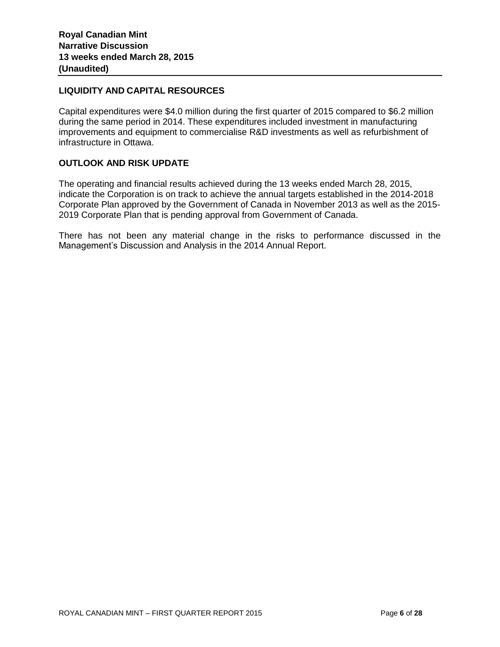#### **LIQUIDITY AND CAPITAL RESOURCES**

Capital expenditures were \$4.0 million during the first quarter of 2015 compared to \$6.2 million during the same period in 2014. These expenditures included investment in manufacturing improvements and equipment to commercialise R&D investments as well as refurbishment of infrastructure in Ottawa.

# **OUTLOOK AND RISK UPDATE**

The operating and financial results achieved during the 13 weeks ended March 28, 2015, indicate the Corporation is on track to achieve the annual targets established in the 2014-2018 Corporate Plan approved by the Government of Canada in November 2013 as well as the 2015- 2019 Corporate Plan that is pending approval from Government of Canada.

There has not been any material change in the risks to performance discussed in the Management's Discussion and Analysis in the 2014 Annual Report.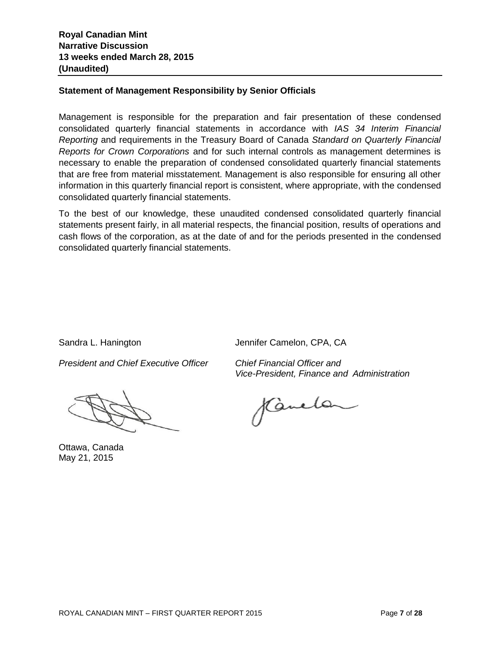# **Statement of Management Responsibility by Senior Officials**

Management is responsible for the preparation and fair presentation of these condensed consolidated quarterly financial statements in accordance with *IAS 34 Interim Financial Reporting* and requirements in the Treasury Board of Canada *Standard on Quarterly Financial Reports for Crown Corporations* and for such internal controls as management determines is necessary to enable the preparation of condensed consolidated quarterly financial statements that are free from material misstatement. Management is also responsible for ensuring all other information in this quarterly financial report is consistent, where appropriate, with the condensed consolidated quarterly financial statements.

To the best of our knowledge, these unaudited condensed consolidated quarterly financial statements present fairly, in all material respects, the financial position, results of operations and cash flows of the corporation, as at the date of and for the periods presented in the condensed consolidated quarterly financial statements.

Sandra L. Hanington Jennifer Camelon, CPA, CA

*President and Chief Executive Officer Chief Financial Officer and*

Ottawa, Canada May 21, 2015

*Vice-President, Finance and Administration*

Kanelan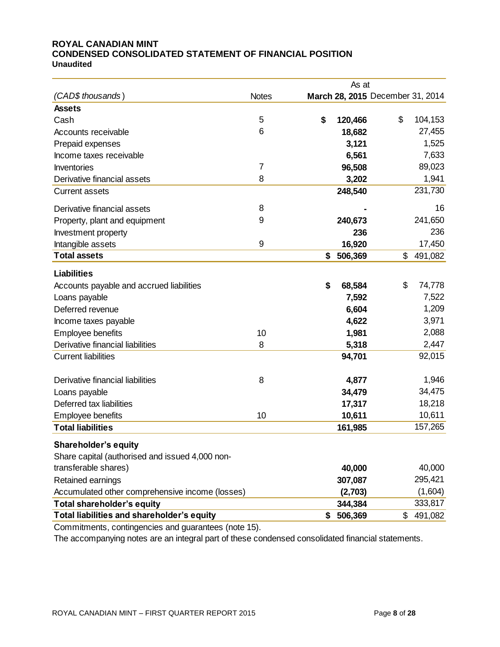#### **ROYAL CANADIAN MINT CONDENSED CONSOLIDATED STATEMENT OF FINANCIAL POSITION Unaudited**

|                                                                                 |              | As at         |                                  |         |
|---------------------------------------------------------------------------------|--------------|---------------|----------------------------------|---------|
| (CAD\$ thousands)                                                               | <b>Notes</b> |               | March 28, 2015 December 31, 2014 |         |
| <b>Assets</b>                                                                   |              |               |                                  |         |
| Cash                                                                            | 5            | \$<br>120,466 | \$                               | 104,153 |
| Accounts receivable                                                             | 6            | 18,682        |                                  | 27,455  |
| Prepaid expenses                                                                |              | 3,121         |                                  | 1,525   |
| Income taxes receivable                                                         |              | 6,561         |                                  | 7,633   |
| Inventories                                                                     | 7            | 96,508        |                                  | 89,023  |
| Derivative financial assets                                                     | 8            | 3,202         |                                  | 1,941   |
| <b>Current assets</b>                                                           |              | 248,540       |                                  | 231,730 |
| Derivative financial assets                                                     | 8            |               |                                  | 16      |
| Property, plant and equipment                                                   | 9            | 240,673       |                                  | 241,650 |
| Investment property                                                             |              | 236           |                                  | 236     |
| Intangible assets                                                               | 9            | 16,920        |                                  | 17,450  |
| <b>Total assets</b>                                                             |              | \$<br>506,369 | \$                               | 491,082 |
| <b>Liabilities</b>                                                              |              |               |                                  |         |
| Accounts payable and accrued liabilities                                        |              | \$<br>68,584  | \$                               | 74,778  |
| Loans payable                                                                   |              | 7,592         |                                  | 7,522   |
| Deferred revenue                                                                |              | 6,604         |                                  | 1,209   |
| Income taxes payable                                                            |              | 4,622         |                                  | 3,971   |
| Employee benefits                                                               | 10           | 1,981         |                                  | 2,088   |
| Derivative financial liabilities                                                | 8            | 5,318         |                                  | 2,447   |
| <b>Current liabilities</b>                                                      |              | 94,701        |                                  | 92,015  |
| Derivative financial liabilities                                                | 8            | 4,877         |                                  | 1,946   |
| Loans payable                                                                   |              | 34,479        |                                  | 34,475  |
| Deferred tax liabilities                                                        |              | 17,317        |                                  | 18,218  |
| Employee benefits                                                               | 10           | 10,611        |                                  | 10,611  |
| <b>Total liabilities</b>                                                        |              | 161,985       |                                  | 157,265 |
|                                                                                 |              |               |                                  |         |
| <b>Shareholder's equity</b>                                                     |              |               |                                  |         |
| Share capital (authorised and issued 4,000 non-<br>transferable shares)         |              |               |                                  | 40,000  |
|                                                                                 |              | 40,000        |                                  | 295,421 |
| Retained earnings                                                               |              | 307,087       |                                  | (1,604) |
| Accumulated other comprehensive income (losses)                                 |              | (2,703)       |                                  | 333,817 |
| <b>Total shareholder's equity</b><br>Total liabilities and shareholder's equity |              | 344,384       |                                  |         |
|                                                                                 |              | \$<br>506,369 | \$                               | 491,082 |

Commitments, contingencies and guarantees (note 15).

The accompanying notes are an integral part of these condensed consolidated financial statements.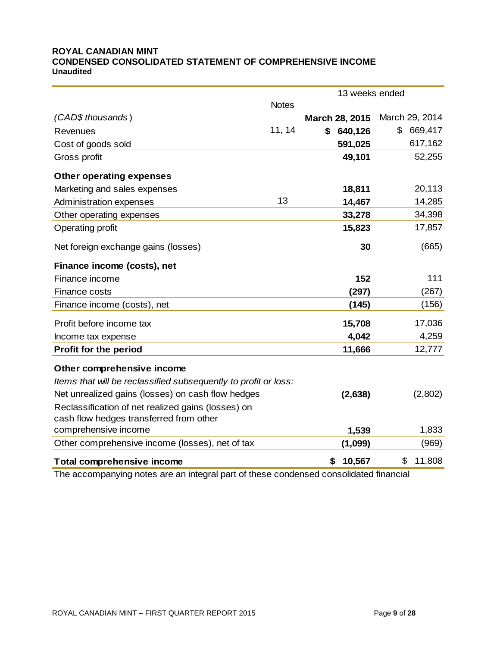#### **ROYAL CANADIAN MINT CONDENSED CONSOLIDATED STATEMENT OF COMPREHENSIVE INCOME Unaudited**

|                                                                 |              | 13 weeks ended |                |  |  |
|-----------------------------------------------------------------|--------------|----------------|----------------|--|--|
|                                                                 | <b>Notes</b> |                |                |  |  |
| (CAD\$ thousands)                                               |              | March 28, 2015 | March 29, 2014 |  |  |
| Revenues                                                        | 11, 14       | \$<br>640,126  | \$<br>669,417  |  |  |
| Cost of goods sold                                              |              | 591,025        | 617,162        |  |  |
| Gross profit                                                    |              | 49,101         | 52,255         |  |  |
| <b>Other operating expenses</b>                                 |              |                |                |  |  |
| Marketing and sales expenses                                    |              | 18,811         | 20,113         |  |  |
| Administration expenses                                         | 13           | 14,467         | 14,285         |  |  |
| Other operating expenses                                        |              | 33,278         | 34,398         |  |  |
| Operating profit                                                |              | 15,823         | 17,857         |  |  |
| Net foreign exchange gains (losses)                             |              | 30             | (665)          |  |  |
| Finance income (costs), net                                     |              |                |                |  |  |
| Finance income                                                  |              | 152            | 111            |  |  |
| Finance costs                                                   |              | (297)          | (267)          |  |  |
| Finance income (costs), net                                     |              | (145)          | (156)          |  |  |
| Profit before income tax                                        |              | 15,708         | 17,036         |  |  |
| Income tax expense                                              |              | 4,042          | 4,259          |  |  |
| <b>Profit for the period</b>                                    |              | 11,666         | 12,777         |  |  |
| Other comprehensive income                                      |              |                |                |  |  |
| Items that will be reclassified subsequently to profit or loss: |              |                |                |  |  |
| Net unrealized gains (losses) on cash flow hedges               |              | (2,638)        | (2,802)        |  |  |
| Reclassification of net realized gains (losses) on              |              |                |                |  |  |
| cash flow hedges transferred from other                         |              |                |                |  |  |
| comprehensive income                                            |              | 1,539          | 1,833          |  |  |
| Other comprehensive income (losses), net of tax                 |              | (1,099)        | (969)          |  |  |
| <b>Total comprehensive income</b>                               |              | \$<br>10,567   | \$<br>11,808   |  |  |

The accompanying notes are an integral part of these condensed consolidated financial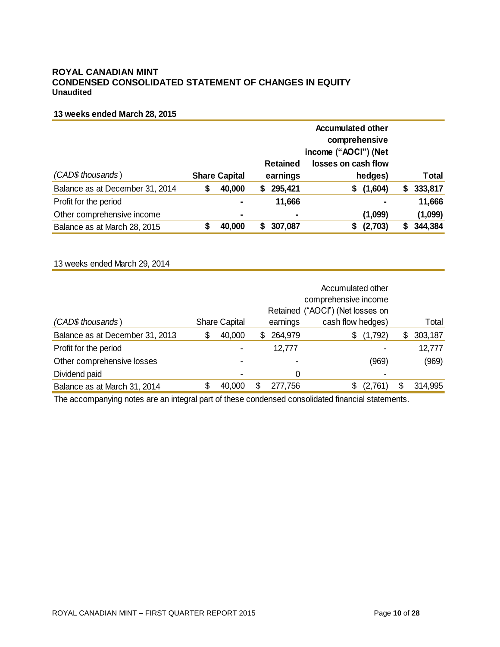#### **ROYAL CANADIAN MINT CONDENSED CONSOLIDATED STATEMENT OF CHANGES IN EQUITY Unaudited**

#### **13 weeks ended March 28, 2015**

|                                 |   |                      | <b>Accumulated other</b><br>comprehensive<br>income ("AOCI") (Net |                             |                                |    |              |
|---------------------------------|---|----------------------|-------------------------------------------------------------------|-----------------------------|--------------------------------|----|--------------|
| (CAD\$ thousands)               |   | <b>Share Capital</b> |                                                                   | <b>Retained</b><br>earnings | losses on cash flow<br>hedges) |    | <b>Total</b> |
| Balance as at December 31, 2014 | S | 40,000               | S                                                                 | 295,421                     | (1,604)<br>S.                  | S. | 333,817      |
| Profit for the period           |   | $\blacksquare$       |                                                                   | 11,666                      |                                |    | 11,666       |
| Other comprehensive income      |   | ٠                    |                                                                   | $\blacksquare$              | (1,099)                        |    | (1,099)      |
| Balance as at March 28, 2015    |   | 40,000               |                                                                   | 307,087                     | (2,703)                        |    | 344,384      |

#### 13 weeks ended March 29, 2014

|                                 |   |                      | Accumulated other<br>comprehensive income<br>Retained ("AOCI") (Net losses on |                |                   |    |         |
|---------------------------------|---|----------------------|-------------------------------------------------------------------------------|----------------|-------------------|----|---------|
| (CAD\$ thousands)               |   | <b>Share Capital</b> |                                                                               | earnings       | cash flow hedges) |    | Total   |
| Balance as at December 31, 2013 | S | 40,000               | S.                                                                            | 264,979        | (1,792)<br>\$     | S. | 303,187 |
| Profit for the period           |   |                      |                                                                               | 12,777         |                   |    | 12,777  |
| Other comprehensive losses      |   |                      |                                                                               | $\blacksquare$ | (969)             |    | (969)   |
| Dividend paid                   |   |                      |                                                                               | 0              |                   |    |         |
| Balance as at March 31, 2014    |   | 40,000               | \$                                                                            | 277,756        | (2,761)           | \$ | 314,995 |

The accompanying notes are an integral part of these condensed consolidated financial statements.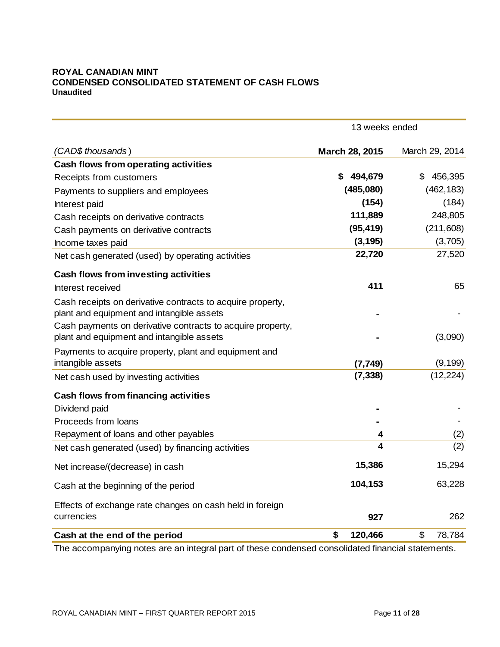# **ROYAL CANADIAN MINT CONDENSED CONSOLIDATED STATEMENT OF CASH FLOWS Unaudited**

|                                                            | 13 weeks ended       |                       |  |  |
|------------------------------------------------------------|----------------------|-----------------------|--|--|
| (CAD\$ thousands)                                          | March 28, 2015       | March 29, 2014        |  |  |
| <b>Cash flows from operating activities</b>                |                      |                       |  |  |
| Receipts from customers                                    | 494,679<br>S         | 456,395<br>\$         |  |  |
| Payments to suppliers and employees                        | (485,080)            | (462, 183)            |  |  |
| Interest paid                                              | (154)                | (184)                 |  |  |
| Cash receipts on derivative contracts                      | 111,889              | 248,805               |  |  |
| Cash payments on derivative contracts                      | (95, 419)            | (211,608)             |  |  |
| Income taxes paid                                          | (3, 195)             | (3,705)               |  |  |
| Net cash generated (used) by operating activities          | 22,720               | 27,520                |  |  |
| <b>Cash flows from investing activities</b>                |                      |                       |  |  |
| Interest received                                          | 411                  | 65                    |  |  |
| Cash receipts on derivative contracts to acquire property, |                      |                       |  |  |
| plant and equipment and intangible assets                  |                      |                       |  |  |
| Cash payments on derivative contracts to acquire property, |                      |                       |  |  |
| plant and equipment and intangible assets                  |                      | (3,090)               |  |  |
| Payments to acquire property, plant and equipment and      |                      |                       |  |  |
| intangible assets                                          | (7, 749)<br>(7, 338) | (9, 199)<br>(12, 224) |  |  |
| Net cash used by investing activities                      |                      |                       |  |  |
| <b>Cash flows from financing activities</b>                |                      |                       |  |  |
| Dividend paid                                              |                      |                       |  |  |
| Proceeds from loans                                        |                      |                       |  |  |
| Repayment of loans and other payables                      | 4                    | (2)                   |  |  |
| Net cash generated (used) by financing activities          | 4                    | (2)                   |  |  |
| Net increase/(decrease) in cash                            | 15,386               | 15,294                |  |  |
| Cash at the beginning of the period                        | 104,153              | 63,228                |  |  |
| Effects of exchange rate changes on cash held in foreign   |                      |                       |  |  |
| currencies                                                 | 927                  | 262                   |  |  |
| Cash at the end of the period                              | \$<br>120,466        | \$<br>78,784          |  |  |

The accompanying notes are an integral part of these condensed consolidated financial statements.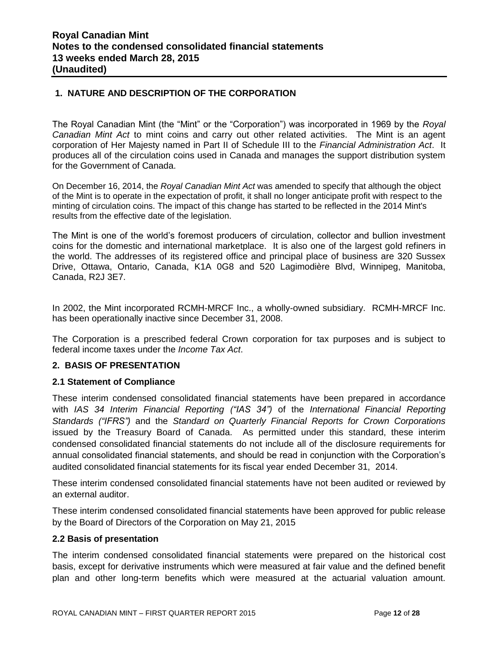# **1. NATURE AND DESCRIPTION OF THE CORPORATION**

The Royal Canadian Mint (the "Mint" or the "Corporation") was incorporated in 1969 by the *Royal Canadian Mint Act* to mint coins and carry out other related activities. The Mint is an agent corporation of Her Majesty named in Part II of Schedule III to the *Financial Administration Act*. It produces all of the circulation coins used in Canada and manages the support distribution system for the Government of Canada.

On December 16, 2014, the *Royal Canadian Mint Act* was amended to specify that although the object of the Mint is to operate in the expectation of profit, it shall no longer anticipate profit with respect to the minting of circulation coins. The impact of this change has started to be reflected in the 2014 Mint's results from the effective date of the legislation.

The Mint is one of the world's foremost producers of circulation, collector and bullion investment coins for the domestic and international marketplace. It is also one of the largest gold refiners in the world. The addresses of its registered office and principal place of business are 320 Sussex Drive, Ottawa, Ontario, Canada, K1A 0G8 and 520 Lagimodière Blvd, Winnipeg, Manitoba, Canada, R2J 3E7.

In 2002, the Mint incorporated RCMH-MRCF Inc., a wholly-owned subsidiary. RCMH-MRCF Inc. has been operationally inactive since December 31, 2008.

The Corporation is a prescribed federal Crown corporation for tax purposes and is subject to federal income taxes under the *Income Tax Act*.

#### **2. BASIS OF PRESENTATION**

#### **2.1 Statement of Compliance**

These interim condensed consolidated financial statements have been prepared in accordance with *IAS 34 Interim Financial Reporting ("IAS 34")* of the *International Financial Reporting Standards ("IFRS")* and the *Standard on Quarterly Financial Reports for Crown Corporations* issued by the Treasury Board of Canada. As permitted under this standard, these interim condensed consolidated financial statements do not include all of the disclosure requirements for annual consolidated financial statements, and should be read in conjunction with the Corporation's audited consolidated financial statements for its fiscal year ended December 31, 2014.

These interim condensed consolidated financial statements have not been audited or reviewed by an external auditor.

These interim condensed consolidated financial statements have been approved for public release by the Board of Directors of the Corporation on May 21, 2015

#### **2.2 Basis of presentation**

The interim condensed consolidated financial statements were prepared on the historical cost basis, except for derivative instruments which were measured at fair value and the defined benefit plan and other long-term benefits which were measured at the actuarial valuation amount.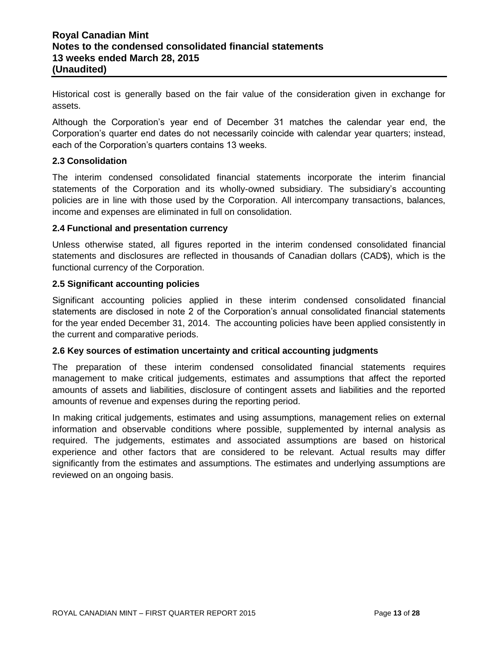Historical cost is generally based on the fair value of the consideration given in exchange for assets.

Although the Corporation's year end of December 31 matches the calendar year end, the Corporation's quarter end dates do not necessarily coincide with calendar year quarters; instead, each of the Corporation's quarters contains 13 weeks.

# **2.3 Consolidation**

The interim condensed consolidated financial statements incorporate the interim financial statements of the Corporation and its wholly-owned subsidiary. The subsidiary's accounting policies are in line with those used by the Corporation. All intercompany transactions, balances, income and expenses are eliminated in full on consolidation.

#### **2.4 Functional and presentation currency**

Unless otherwise stated, all figures reported in the interim condensed consolidated financial statements and disclosures are reflected in thousands of Canadian dollars (CAD\$), which is the functional currency of the Corporation.

#### **2.5 Significant accounting policies**

Significant accounting policies applied in these interim condensed consolidated financial statements are disclosed in note 2 of the Corporation's annual consolidated financial statements for the year ended December 31, 2014. The accounting policies have been applied consistently in the current and comparative periods.

#### **2.6 Key sources of estimation uncertainty and critical accounting judgments**

The preparation of these interim condensed consolidated financial statements requires management to make critical judgements, estimates and assumptions that affect the reported amounts of assets and liabilities, disclosure of contingent assets and liabilities and the reported amounts of revenue and expenses during the reporting period.

In making critical judgements, estimates and using assumptions, management relies on external information and observable conditions where possible, supplemented by internal analysis as required. The judgements, estimates and associated assumptions are based on historical experience and other factors that are considered to be relevant. Actual results may differ significantly from the estimates and assumptions. The estimates and underlying assumptions are reviewed on an ongoing basis.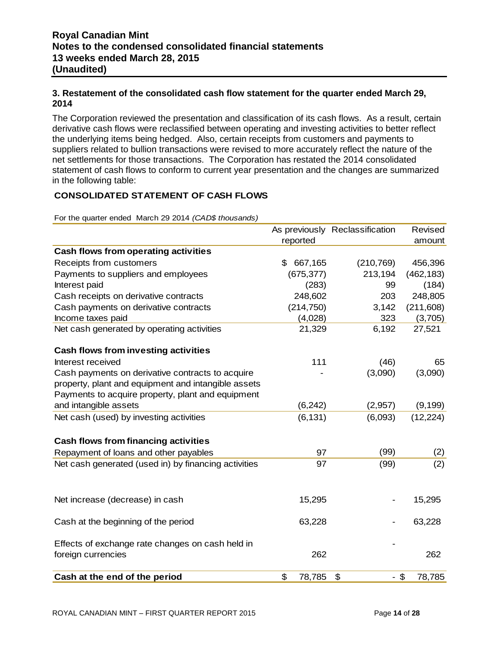# **3. Restatement of the consolidated cash flow statement for the quarter ended March 29, 2014**

The Corporation reviewed the presentation and classification of its cash flows. As a result, certain derivative cash flows were reclassified between operating and investing activities to better reflect the underlying items being hedged. Also, certain receipts from customers and payments to suppliers related to bullion transactions were revised to more accurately reflect the nature of the net settlements for those transactions. The Corporation has restated the 2014 consolidated statement of cash flows to conform to current year presentation and the changes are summarized in the following table:

# **CONSOLIDATED STATEMENT OF CASH FLOWS**

For the quarter ended March 29 2014 *(CAD\$ thousands)*

|                                                                        |               | As previously Reclassification | Revised    |
|------------------------------------------------------------------------|---------------|--------------------------------|------------|
|                                                                        | reported      |                                | amount     |
| Cash flows from operating activities                                   |               |                                |            |
| Receipts from customers                                                | \$<br>667,165 | (210, 769)                     | 456,396    |
| Payments to suppliers and employees                                    | (675, 377)    | 213,194                        | (462, 183) |
| Interest paid                                                          | (283)         | 99                             | (184)      |
| Cash receipts on derivative contracts                                  | 248,602       | 203                            | 248,805    |
| Cash payments on derivative contracts                                  | (214, 750)    | 3,142                          | (211, 608) |
| Income taxes paid                                                      | (4,028)       | 323                            | (3,705)    |
| Net cash generated by operating activities                             | 21,329        | 6,192                          | 27,521     |
| <b>Cash flows from investing activities</b>                            |               |                                |            |
| Interest received                                                      | 111           | (46)                           | 65         |
| Cash payments on derivative contracts to acquire                       |               | (3,090)                        | (3,090)    |
| property, plant and equipment and intangible assets                    |               |                                |            |
| Payments to acquire property, plant and equipment                      |               |                                |            |
| and intangible assets                                                  | (6, 242)      | (2,957)                        | (9, 199)   |
| Net cash (used) by investing activities                                | (6, 131)      | (6,093)                        | (12, 224)  |
| <b>Cash flows from financing activities</b>                            |               |                                |            |
| Repayment of loans and other payables                                  | 97            | (99)                           | (2)        |
| Net cash generated (used in) by financing activities                   | 97            | (99)                           | (2)        |
| Net increase (decrease) in cash                                        | 15,295        |                                | 15,295     |
|                                                                        |               |                                |            |
| Cash at the beginning of the period                                    | 63,228        |                                | 63,228     |
| Effects of exchange rate changes on cash held in<br>foreign currencies | 262           |                                | 262        |
| Cash at the end of the period                                          | \$<br>78,785  | \$<br>$-$ \$                   | 78,785     |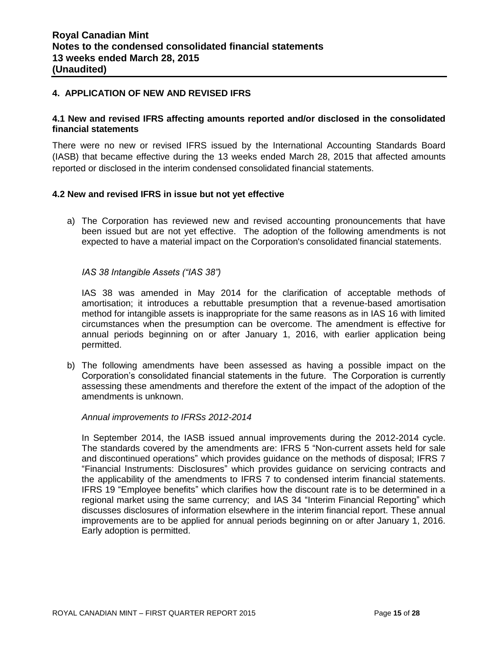#### **4. APPLICATION OF NEW AND REVISED IFRS**

#### **4.1 New and revised IFRS affecting amounts reported and/or disclosed in the consolidated financial statements**

There were no new or revised IFRS issued by the International Accounting Standards Board (IASB) that became effective during the 13 weeks ended March 28, 2015 that affected amounts reported or disclosed in the interim condensed consolidated financial statements.

#### **4.2 New and revised IFRS in issue but not yet effective**

a) The Corporation has reviewed new and revised accounting pronouncements that have been issued but are not yet effective. The adoption of the following amendments is not expected to have a material impact on the Corporation's consolidated financial statements.

*IAS 38 Intangible Assets ("IAS 38")* 

IAS 38 was amended in May 2014 for the clarification of acceptable methods of amortisation; it introduces a rebuttable presumption that a revenue-based amortisation method for intangible assets is inappropriate for the same reasons as in IAS 16 with limited circumstances when the presumption can be overcome. The amendment is effective for annual periods beginning on or after January 1, 2016, with earlier application being permitted.

b) The following amendments have been assessed as having a possible impact on the Corporation's consolidated financial statements in the future. The Corporation is currently assessing these amendments and therefore the extent of the impact of the adoption of the amendments is unknown.

*Annual improvements to IFRSs 2012-2014* 

In September 2014, the IASB issued annual improvements during the 2012-2014 cycle. The standards covered by the amendments are: IFRS 5 "Non-current assets held for sale and discontinued operations" which provides guidance on the methods of disposal; IFRS 7 "Financial Instruments: Disclosures" which provides guidance on servicing contracts and the applicability of the amendments to IFRS 7 to condensed interim financial statements. IFRS 19 "Employee benefits" which clarifies how the discount rate is to be determined in a regional market using the same currency; and IAS 34 "Interim Financial Reporting" which discusses disclosures of information elsewhere in the interim financial report. These annual improvements are to be applied for annual periods beginning on or after January 1, 2016. Early adoption is permitted.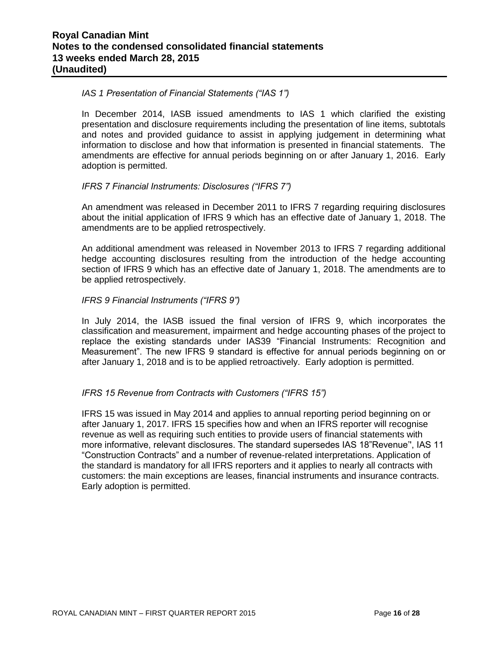#### *IAS 1 Presentation of Financial Statements ("IAS 1")*

In December 2014, IASB issued amendments to IAS 1 which clarified the existing presentation and disclosure requirements including the presentation of line items, subtotals and notes and provided guidance to assist in applying judgement in determining what information to disclose and how that information is presented in financial statements. The amendments are effective for annual periods beginning on or after January 1, 2016. Early adoption is permitted.

#### *IFRS 7 Financial Instruments: Disclosures ("IFRS 7")*

An amendment was released in December 2011 to IFRS 7 regarding requiring disclosures about the initial application of IFRS 9 which has an effective date of January 1, 2018. The amendments are to be applied retrospectively.

An additional amendment was released in November 2013 to IFRS 7 regarding additional hedge accounting disclosures resulting from the introduction of the hedge accounting section of IFRS 9 which has an effective date of January 1, 2018. The amendments are to be applied retrospectively.

#### *IFRS 9 Financial Instruments ("IFRS 9")*

In July 2014, the IASB issued the final version of IFRS 9, which incorporates the classification and measurement, impairment and hedge accounting phases of the project to replace the existing standards under IAS39 "Financial Instruments: Recognition and Measurement". The new IFRS 9 standard is effective for annual periods beginning on or after January 1, 2018 and is to be applied retroactively. Early adoption is permitted.

# *IFRS 15 Revenue from Contracts with Customers ("IFRS 15")*

IFRS 15 was issued in May 2014 and applies to annual reporting period beginning on or after January 1, 2017. IFRS 15 specifies how and when an IFRS reporter will recognise revenue as well as requiring such entities to provide users of financial statements with more informative, relevant disclosures. The standard supersedes IAS 18"Revenue'', IAS 11 "Construction Contracts" and a number of revenue-related interpretations. Application of the standard is mandatory for all IFRS reporters and it applies to nearly all contracts with customers: the main exceptions are leases, financial instruments and insurance contracts. Early adoption is permitted.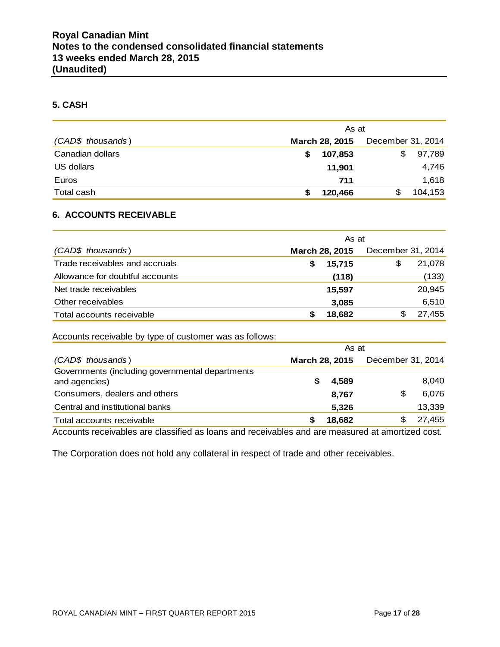#### **5. CASH**

|                   | As at          |                   |  |  |  |
|-------------------|----------------|-------------------|--|--|--|
| (CAD\$ thousands) | March 28, 2015 | December 31, 2014 |  |  |  |
| Canadian dollars  | 107,853<br>S   | 97,789<br>\$      |  |  |  |
| US dollars        | 11,901         | 4,746             |  |  |  |
| Euros             | 711            | 1,618             |  |  |  |
| Total cash        | 120,466        | 104,153<br>\$     |  |  |  |

# **6. ACCOUNTS RECEIVABLE**

|                                 | As at                 |                   |  |  |  |  |
|---------------------------------|-----------------------|-------------------|--|--|--|--|
| (CAD\$ thousands)               | <b>March 28, 2015</b> | December 31, 2014 |  |  |  |  |
| Trade receivables and accruals  | 15.715<br>S           | 21,078<br>\$      |  |  |  |  |
| Allowance for doubtful accounts | (118)                 | (133)             |  |  |  |  |
| Net trade receivables           | 15.597                | 20,945            |  |  |  |  |
| Other receivables               | 3,085                 | 6,510             |  |  |  |  |
| Total accounts receivable       | 18,682                | 27,455            |  |  |  |  |

#### Accounts receivable by type of customer was as follows:

|                                                                                                                                  | As at          |        |                   |        |  |  |
|----------------------------------------------------------------------------------------------------------------------------------|----------------|--------|-------------------|--------|--|--|
| (CAD\$ thousands)                                                                                                                | March 28, 2015 |        | December 31, 2014 |        |  |  |
| Governments (including governmental departments                                                                                  |                |        |                   |        |  |  |
| and agencies)                                                                                                                    |                | 4,589  |                   | 8,040  |  |  |
| Consumers, dealers and others                                                                                                    |                | 8.767  | \$                | 6,076  |  |  |
| Central and institutional banks                                                                                                  |                | 5,326  |                   | 13,339 |  |  |
| Total accounts receivable                                                                                                        |                | 18,682 |                   | 27,455 |  |  |
| the contract of the contract of the contract of the contract of the contract of the contract of the contract of<br>$\sim$ $\sim$ |                |        |                   |        |  |  |

Accounts receivables are classified as loans and receivables and are measured at amortized cost.

The Corporation does not hold any collateral in respect of trade and other receivables.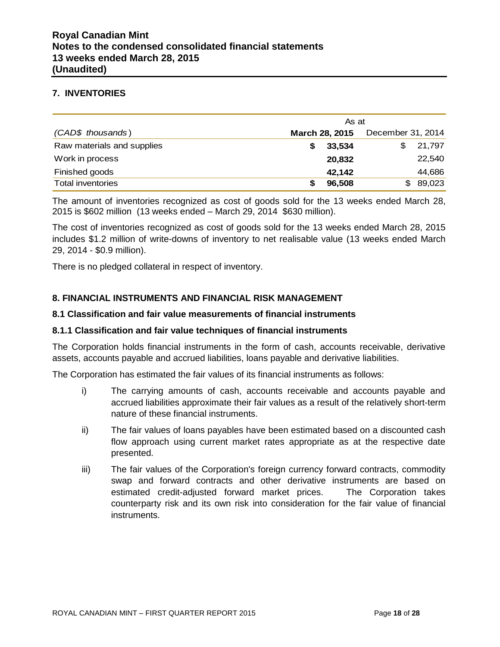#### **7. INVENTORIES**

|                            | As at          |                   |  |  |  |
|----------------------------|----------------|-------------------|--|--|--|
| (CAD\$ thousands)          | March 28, 2015 | December 31, 2014 |  |  |  |
| Raw materials and supplies | 33,534         | 21,797            |  |  |  |
| Work in process            | 20,832         | 22,540            |  |  |  |
| Finished goods             | 42,142         | 44,686            |  |  |  |
| <b>Total inventories</b>   | 96,508         | 89,023<br>SS.     |  |  |  |

The amount of inventories recognized as cost of goods sold for the 13 weeks ended March 28, 2015 is \$602 million (13 weeks ended – March 29, 2014 \$630 million).

The cost of inventories recognized as cost of goods sold for the 13 weeks ended March 28, 2015 includes \$1.2 million of write-downs of inventory to net realisable value (13 weeks ended March 29, 2014 - \$0.9 million).

There is no pledged collateral in respect of inventory.

#### **8. FINANCIAL INSTRUMENTS AND FINANCIAL RISK MANAGEMENT**

#### **8.1 Classification and fair value measurements of financial instruments**

#### **8.1.1 Classification and fair value techniques of financial instruments**

The Corporation holds financial instruments in the form of cash, accounts receivable, derivative assets, accounts payable and accrued liabilities, loans payable and derivative liabilities.

The Corporation has estimated the fair values of its financial instruments as follows:

- i) The carrying amounts of cash, accounts receivable and accounts payable and accrued liabilities approximate their fair values as a result of the relatively short-term nature of these financial instruments.
- ii) The fair values of loans payables have been estimated based on a discounted cash flow approach using current market rates appropriate as at the respective date presented.
- iii) The fair values of the Corporation's foreign currency forward contracts, commodity swap and forward contracts and other derivative instruments are based on estimated credit-adjusted forward market prices. The Corporation takes counterparty risk and its own risk into consideration for the fair value of financial instruments.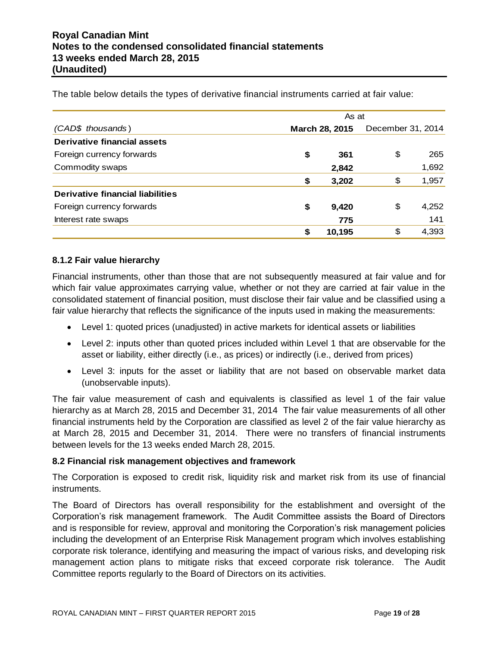|                                  | As at |                |                   |       |
|----------------------------------|-------|----------------|-------------------|-------|
| (CAD\$ thousands)                |       | March 28, 2015 | December 31, 2014 |       |
| Derivative financial assets      |       |                |                   |       |
| Foreign currency forwards        | \$    | 361            | \$                | 265   |
| Commodity swaps                  |       | 2,842          |                   | 1,692 |
|                                  | \$    | 3,202          | \$                | 1,957 |
| Derivative financial liabilities |       |                |                   |       |
| Foreign currency forwards        | \$    | 9,420          | \$                | 4,252 |
| Interest rate swaps              |       | 775            |                   | 141   |
|                                  | \$    | 10,195         | \$                | 4,393 |

The table below details the types of derivative financial instruments carried at fair value:

#### **8.1.2 Fair value hierarchy**

Financial instruments, other than those that are not subsequently measured at fair value and for which fair value approximates carrying value, whether or not they are carried at fair value in the consolidated statement of financial position, must disclose their fair value and be classified using a fair value hierarchy that reflects the significance of the inputs used in making the measurements:

- Level 1: quoted prices (unadjusted) in active markets for identical assets or liabilities
- Level 2: inputs other than quoted prices included within Level 1 that are observable for the asset or liability, either directly (i.e., as prices) or indirectly (i.e., derived from prices)
- Level 3: inputs for the asset or liability that are not based on observable market data (unobservable inputs).

The fair value measurement of cash and equivalents is classified as level 1 of the fair value hierarchy as at March 28, 2015 and December 31, 2014 The fair value measurements of all other financial instruments held by the Corporation are classified as level 2 of the fair value hierarchy as at March 28, 2015 and December 31, 2014. There were no transfers of financial instruments between levels for the 13 weeks ended March 28, 2015.

#### **8.2 Financial risk management objectives and framework**

The Corporation is exposed to credit risk, liquidity risk and market risk from its use of financial instruments.

The Board of Directors has overall responsibility for the establishment and oversight of the Corporation's risk management framework. The Audit Committee assists the Board of Directors and is responsible for review, approval and monitoring the Corporation's risk management policies including the development of an Enterprise Risk Management program which involves establishing corporate risk tolerance, identifying and measuring the impact of various risks, and developing risk management action plans to mitigate risks that exceed corporate risk tolerance. The Audit Committee reports regularly to the Board of Directors on its activities.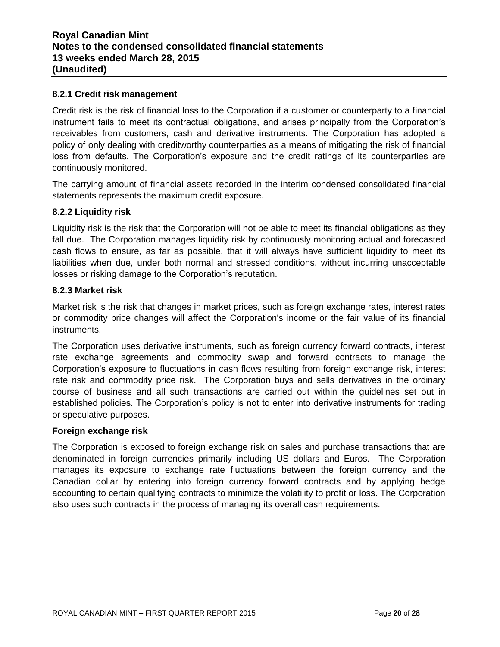#### **8.2.1 Credit risk management**

Credit risk is the risk of financial loss to the Corporation if a customer or counterparty to a financial instrument fails to meet its contractual obligations, and arises principally from the Corporation's receivables from customers, cash and derivative instruments. The Corporation has adopted a policy of only dealing with creditworthy counterparties as a means of mitigating the risk of financial loss from defaults. The Corporation's exposure and the credit ratings of its counterparties are continuously monitored.

The carrying amount of financial assets recorded in the interim condensed consolidated financial statements represents the maximum credit exposure.

#### **8.2.2 Liquidity risk**

Liquidity risk is the risk that the Corporation will not be able to meet its financial obligations as they fall due. The Corporation manages liquidity risk by continuously monitoring actual and forecasted cash flows to ensure, as far as possible, that it will always have sufficient liquidity to meet its liabilities when due, under both normal and stressed conditions, without incurring unacceptable losses or risking damage to the Corporation's reputation.

#### **8.2.3 Market risk**

Market risk is the risk that changes in market prices, such as foreign exchange rates, interest rates or commodity price changes will affect the Corporation's income or the fair value of its financial instruments.

The Corporation uses derivative instruments, such as foreign currency forward contracts, interest rate exchange agreements and commodity swap and forward contracts to manage the Corporation's exposure to fluctuations in cash flows resulting from foreign exchange risk, interest rate risk and commodity price risk. The Corporation buys and sells derivatives in the ordinary course of business and all such transactions are carried out within the guidelines set out in established policies. The Corporation's policy is not to enter into derivative instruments for trading or speculative purposes.

#### **Foreign exchange risk**

The Corporation is exposed to foreign exchange risk on sales and purchase transactions that are denominated in foreign currencies primarily including US dollars and Euros. The Corporation manages its exposure to exchange rate fluctuations between the foreign currency and the Canadian dollar by entering into foreign currency forward contracts and by applying hedge accounting to certain qualifying contracts to minimize the volatility to profit or loss. The Corporation also uses such contracts in the process of managing its overall cash requirements.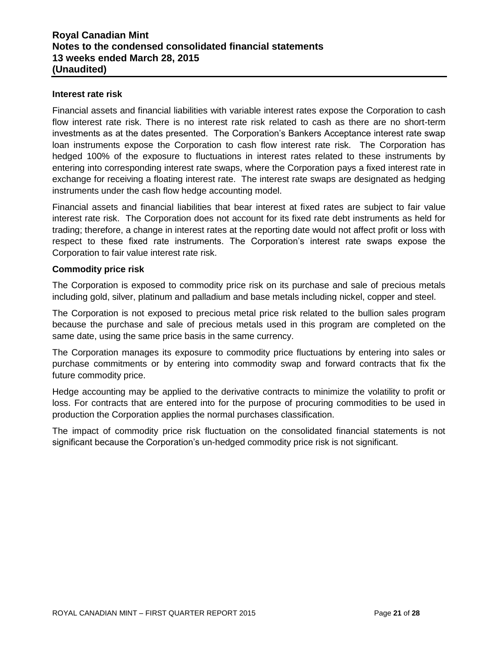#### **Interest rate risk**

Financial assets and financial liabilities with variable interest rates expose the Corporation to cash flow interest rate risk. There is no interest rate risk related to cash as there are no short-term investments as at the dates presented. The Corporation's Bankers Acceptance interest rate swap loan instruments expose the Corporation to cash flow interest rate risk. The Corporation has hedged 100% of the exposure to fluctuations in interest rates related to these instruments by entering into corresponding interest rate swaps, where the Corporation pays a fixed interest rate in exchange for receiving a floating interest rate. The interest rate swaps are designated as hedging instruments under the cash flow hedge accounting model.

Financial assets and financial liabilities that bear interest at fixed rates are subject to fair value interest rate risk. The Corporation does not account for its fixed rate debt instruments as held for trading; therefore, a change in interest rates at the reporting date would not affect profit or loss with respect to these fixed rate instruments. The Corporation's interest rate swaps expose the Corporation to fair value interest rate risk.

#### **Commodity price risk**

The Corporation is exposed to commodity price risk on its purchase and sale of precious metals including gold, silver, platinum and palladium and base metals including nickel, copper and steel.

The Corporation is not exposed to precious metal price risk related to the bullion sales program because the purchase and sale of precious metals used in this program are completed on the same date, using the same price basis in the same currency.

The Corporation manages its exposure to commodity price fluctuations by entering into sales or purchase commitments or by entering into commodity swap and forward contracts that fix the future commodity price.

Hedge accounting may be applied to the derivative contracts to minimize the volatility to profit or loss. For contracts that are entered into for the purpose of procuring commodities to be used in production the Corporation applies the normal purchases classification.

The impact of commodity price risk fluctuation on the consolidated financial statements is not significant because the Corporation's un-hedged commodity price risk is not significant.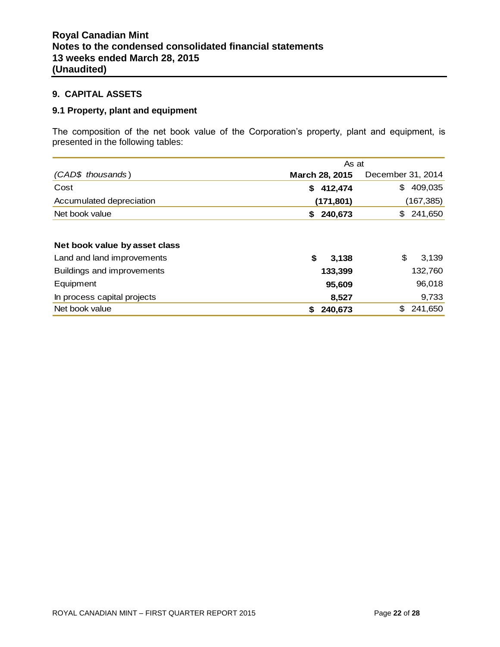#### **9. CAPITAL ASSETS**

# **9.1 Property, plant and equipment**

The composition of the net book value of the Corporation's property, plant and equipment, is presented in the following tables:

|                               | As at          |                   |  |  |
|-------------------------------|----------------|-------------------|--|--|
| (CAD\$ thousands)             | March 28, 2015 | December 31, 2014 |  |  |
| Cost                          | 412,474<br>S.  | 409,035<br>\$     |  |  |
| Accumulated depreciation      | (171, 801)     | (167,385)         |  |  |
| Net book value                | 240,673<br>S.  | 241,650<br>\$     |  |  |
|                               |                |                   |  |  |
| Net book value by asset class |                |                   |  |  |
| Land and land improvements    | \$<br>3,138    | \$<br>3,139       |  |  |
| Buildings and improvements    | 133,399        | 132,760           |  |  |
| Equipment                     | 95,609         | 96,018            |  |  |
| In process capital projects   | 8,527          | 9,733             |  |  |
| Net book value                | 240,673<br>S   | \$<br>241,650     |  |  |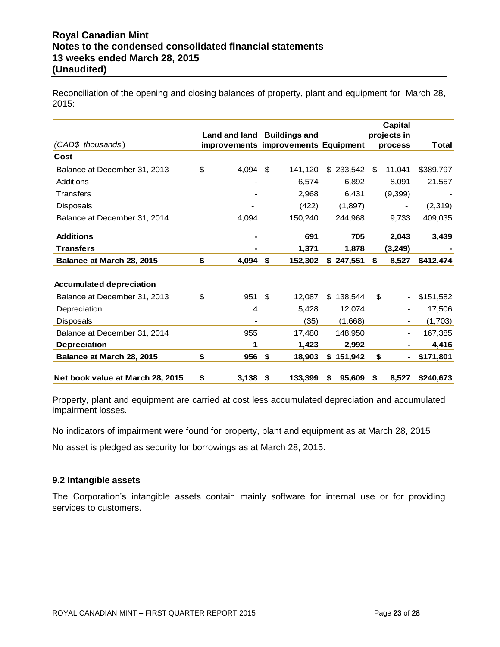Reconciliation of the opening and closing balances of property, plant and equipment for March 28, 2015:

|                                  |                                     |     |         |    |           |     | <b>Capital</b> |           |
|----------------------------------|-------------------------------------|-----|---------|----|-----------|-----|----------------|-----------|
|                                  | Land and land Buildings and         |     |         |    |           |     | projects in    |           |
| (CAD\$ thousands)                | improvements improvements Equipment |     |         |    |           |     | process        | Total     |
| Cost                             |                                     |     |         |    |           |     |                |           |
| Balance at December 31, 2013     | \$<br>4.094                         | \$  | 141,120 |    | \$233,542 | -SS | 11,041         | \$389,797 |
| Additions                        |                                     |     | 6,574   |    | 6,892     |     | 8,091          | 21,557    |
| <b>Transfers</b>                 |                                     |     | 2,968   |    | 6,431     |     | (9,399)        |           |
| <b>Disposals</b>                 |                                     |     | (422)   |    | (1,897)   |     |                | (2,319)   |
| Balance at December 31, 2014     | 4,094                               |     | 150,240 |    | 244,968   |     | 9,733          | 409,035   |
| <b>Additions</b>                 |                                     |     | 691     |    | 705       |     | 2,043          | 3,439     |
| <b>Transfers</b>                 |                                     |     | 1,371   |    | 1,878     |     | (3, 249)       |           |
| Balance at March 28, 2015        | \$<br>4,094                         | \$  | 152,302 |    | \$247,551 | \$  | 8,527          | \$412,474 |
|                                  |                                     |     |         |    |           |     |                |           |
| <b>Accumulated depreciation</b>  |                                     |     |         |    |           |     |                |           |
| Balance at December 31, 2013     | \$<br>951                           | \$. | 12,087  | \$ | 138,544   | \$  |                | \$151,582 |
| Depreciation                     | 4                                   |     | 5,428   |    | 12,074    |     |                | 17,506    |
| <b>Disposals</b>                 |                                     |     | (35)    |    | (1,668)   |     |                | (1,703)   |
| Balance at December 31, 2014     | 955                                 |     | 17,480  |    | 148.950   |     |                | 167,385   |
| <b>Depreciation</b>              | 1                                   |     | 1,423   |    | 2,992     |     | ۰              | 4,416     |
| Balance at March 28, 2015        | \$<br>956                           | \$  | 18,903  | \$ | 151,942   | \$  | ۰              | \$171,801 |
| Net book value at March 28, 2015 | \$<br>3,138                         | -\$ | 133,399 | S  | 95,609    | S.  | 8.527          | \$240.673 |

Property, plant and equipment are carried at cost less accumulated depreciation and accumulated impairment losses.

No indicators of impairment were found for property, plant and equipment as at March 28, 2015

No asset is pledged as security for borrowings as at March 28, 2015.

#### **9.2 Intangible assets**

The Corporation's intangible assets contain mainly software for internal use or for providing services to customers.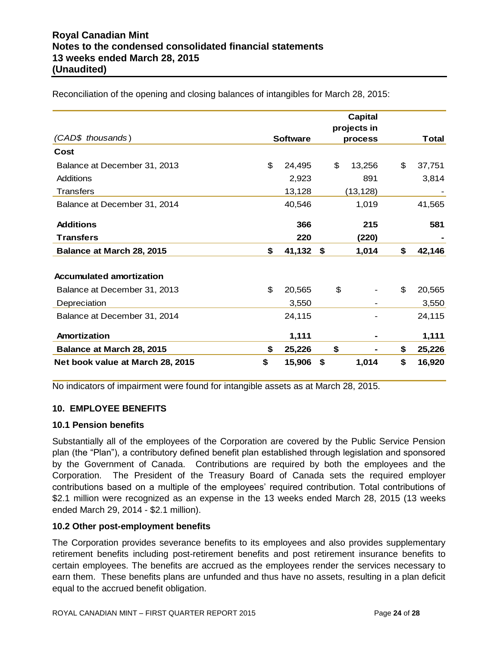|                                  |                 | <b>Capital</b><br>projects in |              |
|----------------------------------|-----------------|-------------------------------|--------------|
| (CAD\$ thousands)                | <b>Software</b> | process                       | Total        |
| Cost                             |                 |                               |              |
| Balance at December 31, 2013     | \$<br>24,495    | \$<br>13,256                  | \$<br>37,751 |
| Additions                        | 2,923           | 891                           | 3,814        |
| <b>Transfers</b>                 | 13,128          | (13, 128)                     |              |
| Balance at December 31, 2014     | 40,546          | 1,019                         | 41,565       |
| <b>Additions</b>                 | 366             | 215                           | 581          |
| <b>Transfers</b>                 | 220             | (220)                         |              |
| Balance at March 28, 2015        | \$<br>41,132    | \$<br>1,014                   | \$<br>42,146 |
| <b>Accumulated amortization</b>  |                 |                               |              |
| Balance at December 31, 2013     | \$<br>20,565    | \$                            | \$<br>20,565 |
| Depreciation                     | 3,550           |                               | 3,550        |
| Balance at December 31, 2014     | 24,115          |                               | 24,115       |
| Amortization                     | 1,111           |                               | 1,111        |
| Balance at March 28, 2015        | \$<br>25,226    | \$                            | \$<br>25,226 |
| Net book value at March 28, 2015 | \$<br>15,906    | \$<br>1,014                   | \$<br>16,920 |

Reconciliation of the opening and closing balances of intangibles for March 28, 2015:

No indicators of impairment were found for intangible assets as at March 28, 2015.

# **10. EMPLOYEE BENEFITS**

#### **10.1 Pension benefits**

Substantially all of the employees of the Corporation are covered by the Public Service Pension plan (the "Plan"), a contributory defined benefit plan established through legislation and sponsored by the Government of Canada. Contributions are required by both the employees and the Corporation. The President of the Treasury Board of Canada sets the required employer contributions based on a multiple of the employees' required contribution. Total contributions of \$2.1 million were recognized as an expense in the 13 weeks ended March 28, 2015 (13 weeks ended March 29, 2014 - \$2.1 million).

#### **10.2 Other post-employment benefits**

The Corporation provides severance benefits to its employees and also provides supplementary retirement benefits including post-retirement benefits and post retirement insurance benefits to certain employees. The benefits are accrued as the employees render the services necessary to earn them. These benefits plans are unfunded and thus have no assets, resulting in a plan deficit equal to the accrued benefit obligation.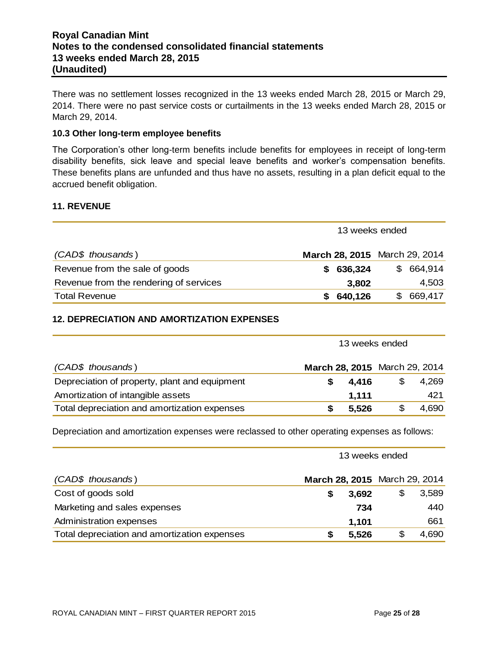There was no settlement losses recognized in the 13 weeks ended March 28, 2015 or March 29, 2014. There were no past service costs or curtailments in the 13 weeks ended March 28, 2015 or March 29, 2014.

#### **10.3 Other long-term employee benefits**

The Corporation's other long-term benefits include benefits for employees in receipt of long-term disability benefits, sick leave and special leave benefits and worker's compensation benefits. These benefits plans are unfunded and thus have no assets, resulting in a plan deficit equal to the accrued benefit obligation.

#### **11. REVENUE**

|                                        | 13 weeks ended                |               |  |  |
|----------------------------------------|-------------------------------|---------------|--|--|
| (CAD\$ thousands)                      | March 28, 2015 March 29, 2014 |               |  |  |
| Revenue from the sale of goods         | 636,324<br>S.                 | 664,914<br>\$ |  |  |
| Revenue from the rendering of services | 3,802                         | 4,503         |  |  |
| <b>Total Revenue</b>                   | 640,126<br>S.                 | 669,417       |  |  |

# **12. DEPRECIATION AND AMORTIZATION EXPENSES**

| (CAD\$ thousands)                             | March 28, 2015 March 29, 2014 |       |             |
|-----------------------------------------------|-------------------------------|-------|-------------|
| Depreciation of property, plant and equipment |                               | 4.416 | \$<br>4,269 |
| Amortization of intangible assets             |                               | 1.111 | 421         |
| Total depreciation and amortization expenses  |                               | 5,526 | 4,690       |

Depreciation and amortization expenses were reclassed to other operating expenses as follows:

|                                              | 13 weeks ended |       |    |                               |
|----------------------------------------------|----------------|-------|----|-------------------------------|
| (CAD\$ thousands)                            |                |       |    | March 28, 2015 March 29, 2014 |
| Cost of goods sold                           | S              | 3,692 | \$ | 3,589                         |
| Marketing and sales expenses                 |                | 734   |    | 440                           |
| Administration expenses                      |                | 1,101 |    | 661                           |
| Total depreciation and amortization expenses | S              | 5,526 | \$ | 4,690                         |

13 weeks ended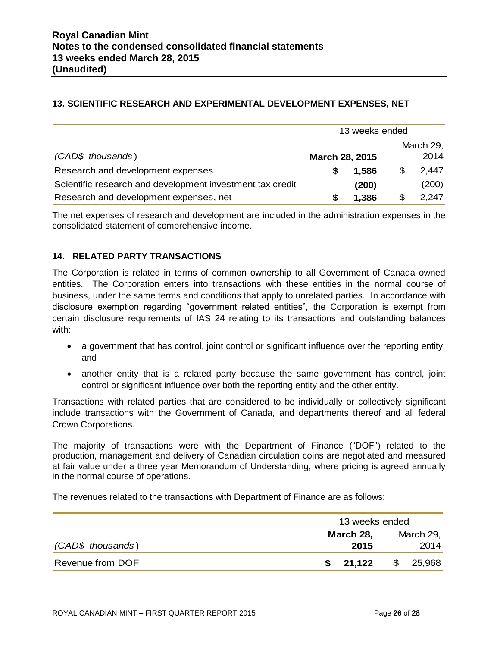# **13. SCIENTIFIC RESEARCH AND EXPERIMENTAL DEVELOPMENT EXPENSES, NET**

|                                                           | 13 weeks ended        |       |    |           |
|-----------------------------------------------------------|-----------------------|-------|----|-----------|
|                                                           |                       |       |    | March 29, |
| (CAD\$ thousands)                                         | <b>March 28, 2015</b> |       |    | 2014      |
| Research and development expenses                         |                       | 1,586 | \$ | 2,447     |
| Scientific research and development investment tax credit |                       | (200) |    | (200)     |
| Research and development expenses, net                    |                       | 1,386 | S  | 2,247     |

The net expenses of research and development are included in the administration expenses in the consolidated statement of comprehensive income.

# **14. RELATED PARTY TRANSACTIONS**

The Corporation is related in terms of common ownership to all Government of Canada owned entities. The Corporation enters into transactions with these entities in the normal course of business, under the same terms and conditions that apply to unrelated parties. In accordance with disclosure exemption regarding "government related entities", the Corporation is exempt from certain disclosure requirements of IAS 24 relating to its transactions and outstanding balances with:

- a government that has control, joint control or significant influence over the reporting entity; and
- another entity that is a related party because the same government has control, joint control or significant influence over both the reporting entity and the other entity.

Transactions with related parties that are considered to be individually or collectively significant include transactions with the Government of Canada, and departments thereof and all federal Crown Corporations.

The majority of transactions were with the Department of Finance ("DOF") related to the production, management and delivery of Canadian circulation coins are negotiated and measured at fair value under a three year Memorandum of Understanding, where pricing is agreed annually in the normal course of operations.

The revenues related to the transactions with Department of Finance are as follows:

|                   | 13 weeks ended    |                   |  |
|-------------------|-------------------|-------------------|--|
| (CAD\$ thousands) | March 28,<br>2015 | March 29,<br>2014 |  |
| Revenue from DOF  | 21,122<br>S.      | 25,968<br>\$      |  |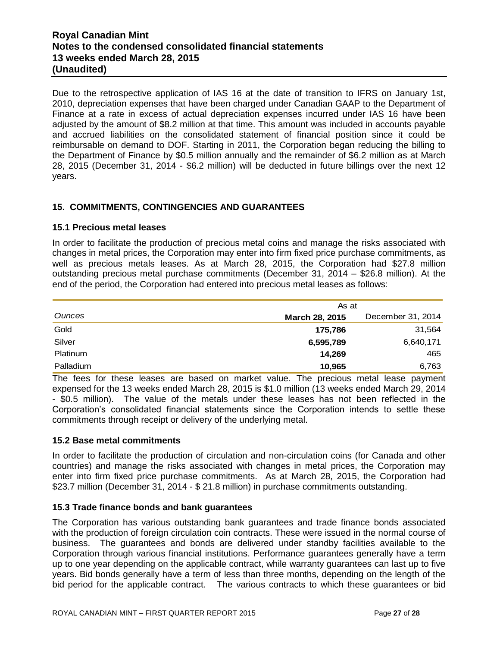# **Royal Canadian Mint Notes to the condensed consolidated financial statements 13 weeks ended March 28, 2015 (Unaudited)**

Due to the retrospective application of IAS 16 at the date of transition to IFRS on January 1st, 2010, depreciation expenses that have been charged under Canadian GAAP to the Department of Finance at a rate in excess of actual depreciation expenses incurred under IAS 16 have been adjusted by the amount of \$8.2 million at that time. This amount was included in accounts payable and accrued liabilities on the consolidated statement of financial position since it could be reimbursable on demand to DOF. Starting in 2011, the Corporation began reducing the billing to the Department of Finance by \$0.5 million annually and the remainder of \$6.2 million as at March 28, 2015 (December 31, 2014 - \$6.2 million) will be deducted in future billings over the next 12 years.

# **15. COMMITMENTS, CONTINGENCIES AND GUARANTEES**

#### **15.1 Precious metal leases**

In order to facilitate the production of precious metal coins and manage the risks associated with changes in metal prices, the Corporation may enter into firm fixed price purchase commitments, as well as precious metals leases. As at March 28, 2015, the Corporation had \$27.8 million outstanding precious metal purchase commitments (December 31, 2014 – \$26.8 million). At the end of the period, the Corporation had entered into precious metal leases as follows:

|                 | As at                 |                   |
|-----------------|-----------------------|-------------------|
| <b>Ounces</b>   | <b>March 28, 2015</b> | December 31, 2014 |
| Gold            | 175,786               | 31,564            |
| Silver          | 6,595,789             | 6,640,171         |
| <b>Platinum</b> | 14.269                | 465               |
| Palladium       | 10,965                | 6,763             |

The fees for these leases are based on market value. The precious metal lease payment expensed for the 13 weeks ended March 28, 2015 is \$1.0 million (13 weeks ended March 29, 2014 - \$0.5 million). The value of the metals under these leases has not been reflected in the Corporation's consolidated financial statements since the Corporation intends to settle these commitments through receipt or delivery of the underlying metal.

# **15.2 Base metal commitments**

In order to facilitate the production of circulation and non-circulation coins (for Canada and other countries) and manage the risks associated with changes in metal prices, the Corporation may enter into firm fixed price purchase commitments. As at March 28, 2015, the Corporation had \$23.7 million (December 31, 2014 - \$ 21.8 million) in purchase commitments outstanding.

#### **15.3 Trade finance bonds and bank guarantees**

The Corporation has various outstanding bank guarantees and trade finance bonds associated with the production of foreign circulation coin contracts. These were issued in the normal course of business. The guarantees and bonds are delivered under standby facilities available to the Corporation through various financial institutions. Performance guarantees generally have a term up to one year depending on the applicable contract, while warranty guarantees can last up to five years. Bid bonds generally have a term of less than three months, depending on the length of the bid period for the applicable contract. The various contracts to which these guarantees or bid